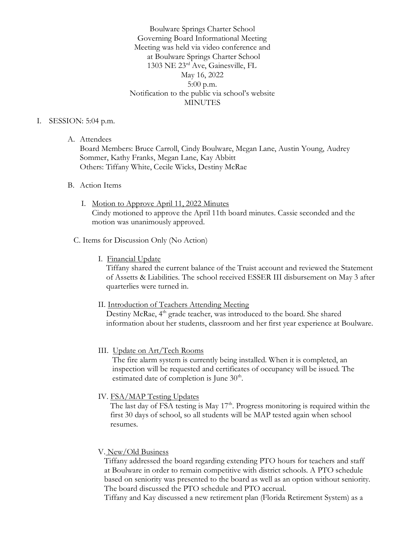Boulware Springs Charter School Governing Board Informational Meeting Meeting was held via video conference and at Boulware Springs Charter School 1303 NE 23rd Ave, Gainesville, FL May 16, 2022 5:00 p.m. Notification to the public via school's website **MINUTES** 

## I. SESSION: 5:04 p.m.

A. Attendees

Board Members: Bruce Carroll, Cindy Boulware, Megan Lane, Austin Young, Audrey Sommer, Kathy Franks, Megan Lane, Kay Abbitt Others: Tiffany White, Cecile Wicks, Destiny McRae

#### B. Action Items

I. Motion to Approve April 11, 2022 Minutes Cindy motioned to approve the April 11th board minutes. Cassie seconded and the motion was unanimously approved.

# C. Items for Discussion Only (No Action)

I. Financial Update

 Tiffany shared the current balance of the Truist account and reviewed the Statement of Assetts & Liabilities. The school received ESSER III disbursement on May 3 after quarterlies were turned in.

II. Introduction of Teachers Attending Meeting Destiny McRae, 4<sup>th</sup> grade teacher, was introduced to the board. She shared information about her students, classroom and her first year experience at Boulware.

## III. Update on Art/Tech Rooms

 The fire alarm system is currently being installed. When it is completed, an inspection will be requested and certificates of occupancy will be issued. The estimated date of completion is June  $30<sup>th</sup>$ .

IV. FSA/MAP Testing Updates

The last day of FSA testing is May  $17<sup>th</sup>$ . Progress monitoring is required within the first 30 days of school, so all students will be MAP tested again when school resumes.

## V. New/Old Business

 Tiffany addressed the board regarding extending PTO hours for teachers and staff at Boulware in order to remain competitive with district schools. A PTO schedule based on seniority was presented to the board as well as an option without seniority. The board discussed the PTO schedule and PTO accrual.

Tiffany and Kay discussed a new retirement plan (Florida Retirement System) as a